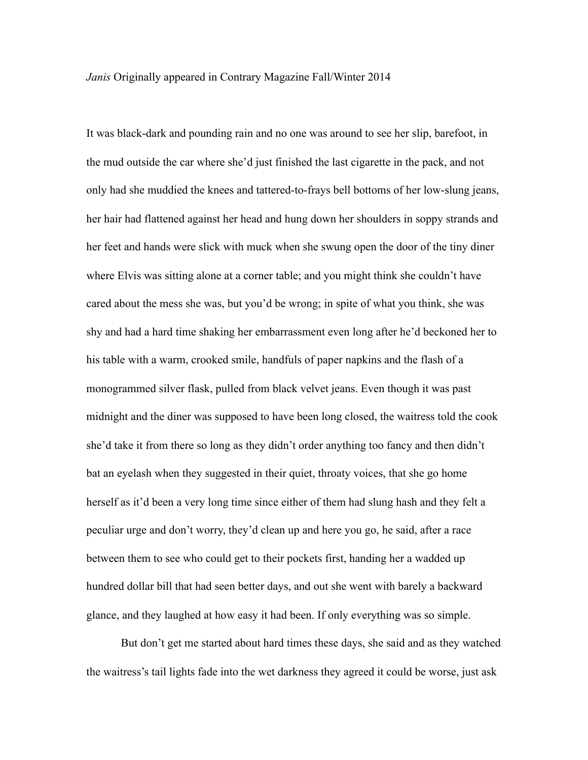It was black-dark and pounding rain and no one was around to see her slip, barefoot, in the mud outside the car where she'd just finished the last cigarette in the pack, and not only had she muddied the knees and tattered-to-frays bell bottoms of her low-slung jeans, her hair had flattened against her head and hung down her shoulders in soppy strands and her feet and hands were slick with muck when she swung open the door of the tiny diner where Elvis was sitting alone at a corner table; and you might think she couldn't have cared about the mess she was, but you'd be wrong; in spite of what you think, she was shy and had a hard time shaking her embarrassment even long after he'd beckoned her to his table with a warm, crooked smile, handfuls of paper napkins and the flash of a monogrammed silver flask, pulled from black velvet jeans. Even though it was past midnight and the diner was supposed to have been long closed, the waitress told the cook she'd take it from there so long as they didn't order anything too fancy and then didn't bat an eyelash when they suggested in their quiet, throaty voices, that she go home herself as it'd been a very long time since either of them had slung hash and they felt a peculiar urge and don't worry, they'd clean up and here you go, he said, after a race between them to see who could get to their pockets first, handing her a wadded up hundred dollar bill that had seen better days, and out she went with barely a backward glance, and they laughed at how easy it had been. If only everything was so simple.

 But don't get me started about hard times these days, she said and as they watched the waitress's tail lights fade into the wet darkness they agreed it could be worse, just ask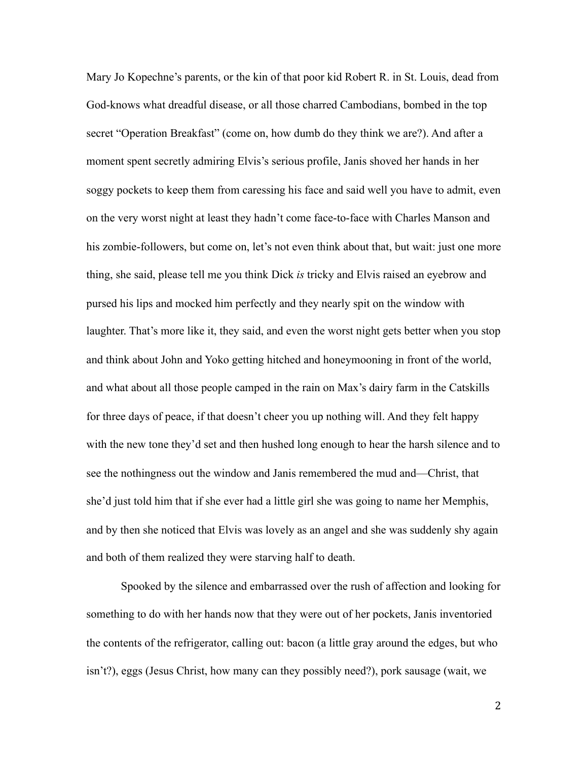Mary Jo Kopechne's parents, or the kin of that poor kid Robert R. in St. Louis, dead from God-knows what dreadful disease, or all those charred Cambodians, bombed in the top secret "Operation Breakfast" (come on, how dumb do they think we are?). And after a moment spent secretly admiring Elvis's serious profile, Janis shoved her hands in her soggy pockets to keep them from caressing his face and said well you have to admit, even on the very worst night at least they hadn't come face-to-face with Charles Manson and his zombie-followers, but come on, let's not even think about that, but wait: just one more thing, she said, please tell me you think Dick *is* tricky and Elvis raised an eyebrow and pursed his lips and mocked him perfectly and they nearly spit on the window with laughter. That's more like it, they said, and even the worst night gets better when you stop and think about John and Yoko getting hitched and honeymooning in front of the world, and what about all those people camped in the rain on Max's dairy farm in the Catskills for three days of peace, if that doesn't cheer you up nothing will. And they felt happy with the new tone they'd set and then hushed long enough to hear the harsh silence and to see the nothingness out the window and Janis remembered the mud and—Christ, that she'd just told him that if she ever had a little girl she was going to name her Memphis, and by then she noticed that Elvis was lovely as an angel and she was suddenly shy again and both of them realized they were starving half to death.

 Spooked by the silence and embarrassed over the rush of affection and looking for something to do with her hands now that they were out of her pockets, Janis inventoried the contents of the refrigerator, calling out: bacon (a little gray around the edges, but who isn't?), eggs (Jesus Christ, how many can they possibly need?), pork sausage (wait, we

2